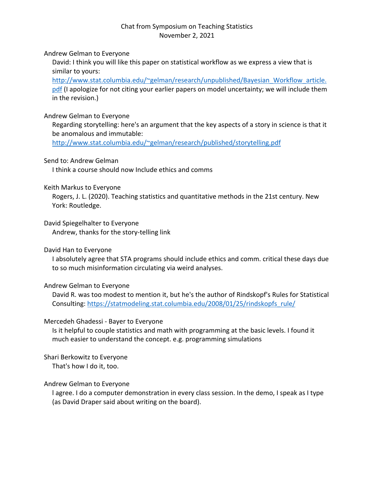# Chat from Symposium on Teaching Statistics November 2, 2021

Andrew Gelman to Everyone

David: I think you will like this paper on statistical workflow as we express a view that is similar to yours:

http://www.stat.columbia.edu/~gelman/research/unpublished/Bayesian\_Workflow\_article. pdf (I apologize for not citing your earlier papers on model uncertainty; we will include them in the revision.)

# Andrew Gelman to Everyone

Regarding storytelling: here's an argument that the key aspects of a story in science is that it be anomalous and immutable:

http://www.stat.columbia.edu/~gelman/research/published/storytelling.pdf

## Send to: Andrew Gelman

I think a course should now Include ethics and comms

## Keith Markus to Everyone

Rogers, J. L. (2020). Teaching statistics and quantitative methods in the 21st century. New York: Routledge.

# David Spiegelhalter to Everyone

Andrew, thanks for the story-telling link

# David Han to Everyone

I absolutely agree that STA programs should include ethics and comm. critical these days due to so much misinformation circulating via weird analyses.

## Andrew Gelman to Everyone

David R. was too modest to mention it, but he's the author of Rindskopf's Rules for Statistical Consulting: https://statmodeling.stat.columbia.edu/2008/01/25/rindskopfs\_rule/

## Mercedeh Ghadessi - Bayer to Everyone

Is it helpful to couple statistics and math with programming at the basic levels. I found it much easier to understand the concept. e.g. programming simulations

# Shari Berkowitz to Everyone

That's how I do it, too.

## Andrew Gelman to Everyone

l agree. I do a computer demonstration in every class session. In the demo, I speak as I type (as David Draper said about writing on the board).